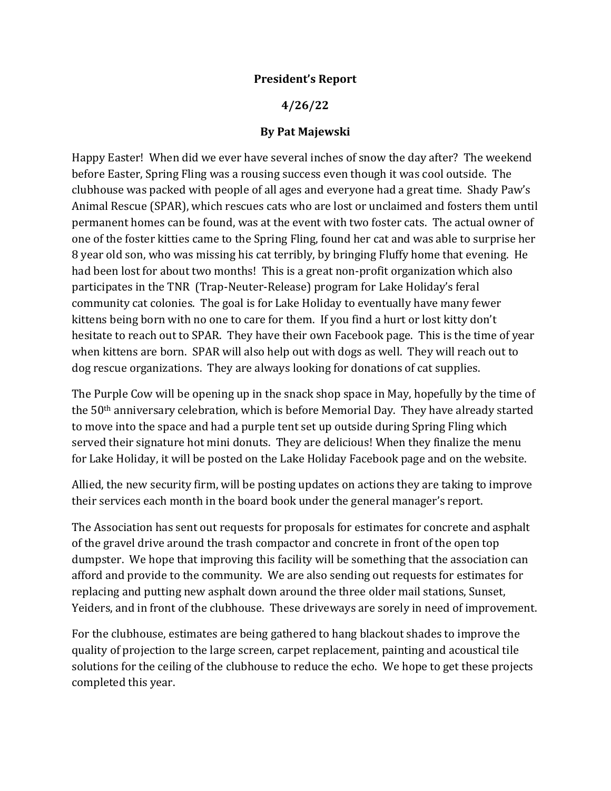## **President's Report**

## **4/26/22**

## **By Pat Majewski**

Happy Easter! When did we ever have several inches of snow the day after? The weekend before Easter, Spring Fling was a rousing success even though it was cool outside. The clubhouse was packed with people of all ages and everyone had a great time. Shady Paw's Animal Rescue (SPAR), which rescues cats who are lost or unclaimed and fosters them until permanent homes can be found, was at the event with two foster cats. The actual owner of one of the foster kitties came to the Spring Fling, found her cat and was able to surprise her 8 year old son, who was missing his cat terribly, by bringing Fluffy home that evening. He had been lost for about two months! This is a great non-profit organization which also participates in the TNR (Trap-Neuter-Release) program for Lake Holiday's feral community cat colonies. The goal is for Lake Holiday to eventually have many fewer kittens being born with no one to care for them. If you find a hurt or lost kitty don't hesitate to reach out to SPAR. They have their own Facebook page. This is the time of year when kittens are born. SPAR will also help out with dogs as well. They will reach out to dog rescue organizations. They are always looking for donations of cat supplies.

The Purple Cow will be opening up in the snack shop space in May, hopefully by the time of the 50th anniversary celebration, which is before Memorial Day. They have already started to move into the space and had a purple tent set up outside during Spring Fling which served their signature hot mini donuts. They are delicious! When they finalize the menu for Lake Holiday, it will be posted on the Lake Holiday Facebook page and on the website.

Allied, the new security firm, will be posting updates on actions they are taking to improve their services each month in the board book under the general manager's report.

The Association has sent out requests for proposals for estimates for concrete and asphalt of the gravel drive around the trash compactor and concrete in front of the open top dumpster. We hope that improving this facility will be something that the association can afford and provide to the community. We are also sending out requests for estimates for replacing and putting new asphalt down around the three older mail stations, Sunset, Yeiders, and in front of the clubhouse. These driveways are sorely in need of improvement.

For the clubhouse, estimates are being gathered to hang blackout shades to improve the quality of projection to the large screen, carpet replacement, painting and acoustical tile solutions for the ceiling of the clubhouse to reduce the echo. We hope to get these projects completed this year.